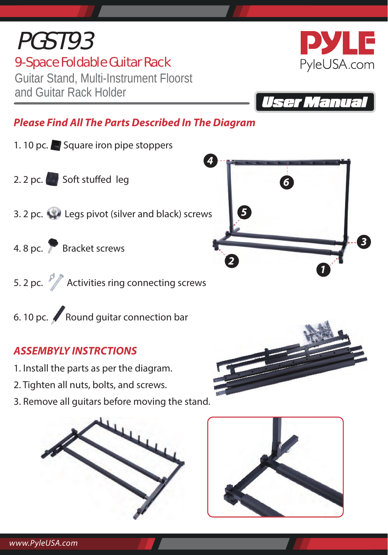#### *www.PyleUSA.com*

# 9-Space Foldable Guitar Rack PGST93

Guitar Stand, Multi-Instrument Floorst and Guitar Rack Holder

*Please Find All The Parts Described In The Diagram*

- 1. 10 pc. Square iron pipe stoppers
- 2. 2 pc. Soft stuffed  $leg$
- 3. 2 pc. Legs pivot (silver and black) screws
- 4. 8 pc. **Bracket screws**
- 5. 2 pc.  $\sqrt{2}$  Activities ring connecting screws
- 6. 10 pc. Round guitar connection bar

#### *ASSEMBYLY INSTRCTIONS*

- 1. Install the parts as per the diagram.
- 2. Tighten all nuts, bolts, and screws.
- 3. Remove all guitars before moving the stand.